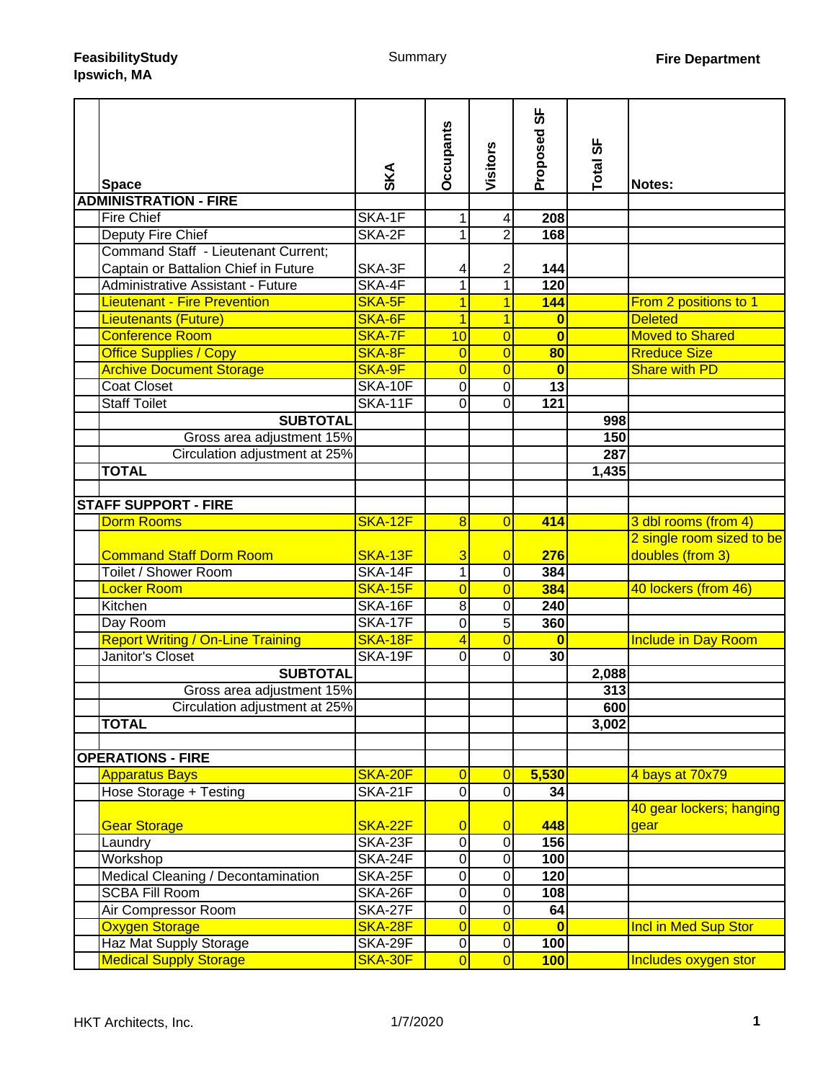| <b>Space</b>                             | SKA            | <b>Occupants</b>    | Visitors         | სნ<br>Proposed          | Total SF | Notes:                                        |
|------------------------------------------|----------------|---------------------|------------------|-------------------------|----------|-----------------------------------------------|
| <b>ADMINISTRATION - FIRE</b>             |                |                     |                  |                         |          |                                               |
| <b>Fire Chief</b>                        | SKA-1F         | 1                   | 4                | 208                     |          |                                               |
| <b>Deputy Fire Chief</b>                 | SKA-2F         | 1                   | $\overline{2}$   | 168                     |          |                                               |
| Command Staff - Lieutenant Current;      |                |                     |                  |                         |          |                                               |
| Captain or Battalion Chief in Future     | SKA-3F         | 4                   | 2                | 144                     |          |                                               |
| <b>Administrative Assistant - Future</b> | SKA-4F         | 1                   | $\mathbf{1}$     | 120                     |          |                                               |
| <b>Lieutenant - Fire Prevention</b>      | SKA-5F         | $\mathbf{1}$        | 1                | 144                     |          | From 2 positions to 1                         |
| <b>Lieutenants (Future)</b>              | SKA-6F         | $\overline{1}$      | 1                | 0                       |          | <b>Deleted</b>                                |
| <b>Conference Room</b>                   | SKA-7F         | 10                  | $\overline{0}$   | $\overline{\mathbf{0}}$ |          | <b>Moved to Shared</b>                        |
| <b>Office Supplies / Copy</b>            | SKA-8F         | $\overline{0}$      | $\overline{0}$   | 80                      |          | <b>Rreduce Size</b>                           |
| <b>Archive Document Storage</b>          | SKA-9F         | $\overline{0}$      | $\overline{0}$   | $\bf{0}$                |          | <b>Share with PD</b>                          |
| <b>Coat Closet</b>                       | SKA-10F        | $\pmb{0}$           | 0                | $\overline{13}$         |          |                                               |
| <b>Staff Toilet</b>                      | SKA-11F        | 0                   | $\Omega$         | 121                     |          |                                               |
| <b>SUBTOTAL</b>                          |                |                     |                  |                         | 998      |                                               |
| Gross area adjustment 15%                |                |                     |                  |                         | 150      |                                               |
| Circulation adjustment at 25%            |                |                     |                  |                         | 287      |                                               |
| <b>TOTAL</b>                             |                |                     |                  |                         | 1,435    |                                               |
|                                          |                |                     |                  |                         |          |                                               |
| <b>STAFF SUPPORT - FIRE</b>              |                |                     |                  |                         |          |                                               |
| <b>Dorm Rooms</b>                        | SKA-12F        | 8                   | $\overline{0}$   | 414                     |          | 3 dbl rooms (from 4)                          |
| <b>Command Staff Dorm Room</b>           | <b>SKA-13F</b> | 3                   | $\overline{0}$   | 276                     |          | 2 single room sized to be<br>doubles (from 3) |
| Toilet / Shower Room                     | SKA-14F        | $\overline{1}$      | 0                | 384                     |          |                                               |
| Locker Room                              | SKA-15F        | $\overline{0}$      | $\overline{0}$   | 384                     |          | 40 lockers (from 46)                          |
| Kitchen                                  | SKA-16F        | 8                   | 0                | 240                     |          |                                               |
| Day Room                                 | <b>SKA-17F</b> | $\mathbf 0$         | $\overline{5}$   | 360                     |          |                                               |
| <b>Report Writing / On-Line Training</b> | SKA-18F        | 4                   | $\overline{0}$   | $\bf{0}$                |          | <b>Include in Day Room</b>                    |
| Janitor's Closet                         | SKA-19F        | 0                   | 0                | 30                      |          |                                               |
| <b>SUBTOTAL</b>                          |                |                     |                  |                         | 2,088    |                                               |
| Gross area adjustment 15%                |                |                     |                  |                         | 313      |                                               |
| Circulation adjustment at 25%            |                |                     |                  |                         | 600      |                                               |
| <b>TOTAL</b>                             |                |                     |                  |                         | 3,002    |                                               |
|                                          |                |                     |                  |                         |          |                                               |
| <b>OPERATIONS - FIRE</b>                 |                |                     |                  |                         |          |                                               |
| <b>Apparatus Bays</b>                    | SKA-20F        | $\overline{0}$      | $\overline{0}$   | 5,530                   |          | 4 bays at 70x79                               |
| Hose Storage + Testing                   | SKA-21F        | $\mathbf 0$         | $\overline{0}$   | 34                      |          |                                               |
| <b>Gear Storage</b>                      | SKA-22F        | $\overline{0}$      | $\overline{0}$   | 448                     |          | 40 gear lockers; hanging<br>gear              |
| Laundry                                  | SKA-23F        | $\mathsf 0$         | $\pmb{0}$        | 156                     |          |                                               |
| Workshop                                 | SKA-24F        | 0                   | $\pmb{0}$        | 100                     |          |                                               |
| Medical Cleaning / Decontamination       | SKA-25F        | 0                   | $\boldsymbol{0}$ | 120                     |          |                                               |
| <b>SCBA Fill Room</b>                    | SKA-26F        | 0                   | 0                | 108                     |          |                                               |
| Air Compressor Room                      | SKA-27F        | $\mathsf{O}\xspace$ | $\boldsymbol{0}$ | 64                      |          |                                               |
| <b>Oxygen Storage</b>                    | SKA-28F        | $\overline{0}$      | $\overline{0}$   | $\bf{0}$                |          | <b>Incl in Med Sup Stor</b>                   |
| Haz Mat Supply Storage                   | <b>SKA-29F</b> | 0                   | $\pmb{0}$        | 100                     |          |                                               |
| <b>Medical Supply Storage</b>            | SKA-30F        | $\overline{0}$      | $\overline{0}$   | 100                     |          | Includes oxygen stor                          |